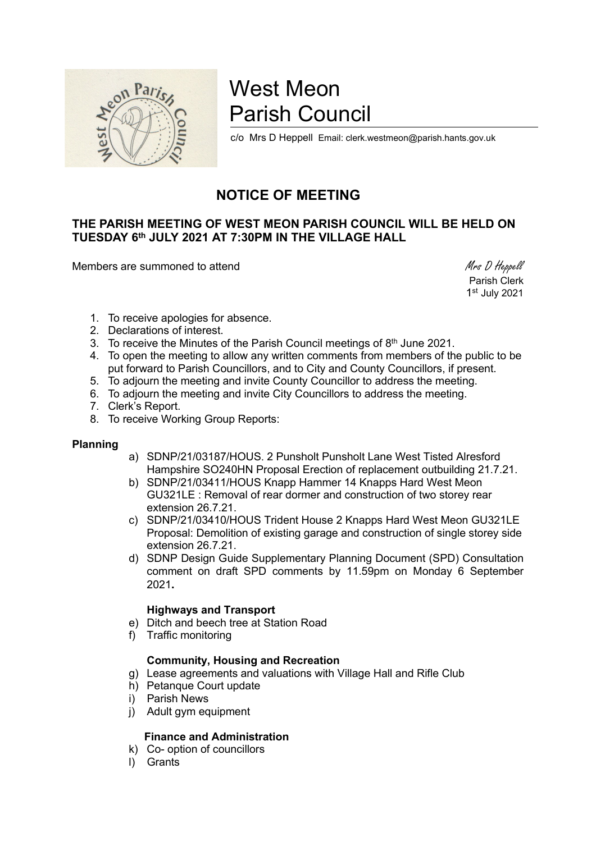

# West Meon Parish Council

c/o Mrs D Heppell Email: clerk.westmeon@parish.hants.gov.uk

# NOTICE OF MEETING

# THE PARISH MEETING OF WEST MEON PARISH COUNCIL WILL BE HELD ON TUESDAY 6th JULY 2021 AT 7:30PM IN THE VILLAGE HALL

Members are summoned to attend Members are summoned to attend Members are summoned to attend Members and Members are summoned to attend  $M$ rs D Heppell

 Parish Clerk 1 st July 2021

- 1. To receive apologies for absence.
- 2. Declarations of interest.
- 3. To receive the Minutes of the Parish Council meetings of  $8<sup>th</sup>$  June 2021.
- 4. To open the meeting to allow any written comments from members of the public to be put forward to Parish Councillors, and to City and County Councillors, if present.
- 5. To adjourn the meeting and invite County Councillor to address the meeting.
- 6. To adjourn the meeting and invite City Councillors to address the meeting.
- 7. Clerk's Report.
- 8. To receive Working Group Reports:

#### Planning

- a) SDNP/21/03187/HOUS. 2 Punsholt Punsholt Lane West Tisted Alresford Hampshire SO240HN Proposal Erection of replacement outbuilding 21.7.21.
- b) SDNP/21/03411/HOUS Knapp Hammer 14 Knapps Hard West Meon GU321LE : Removal of rear dormer and construction of two storey rear extension 26.7.21.
- c) SDNP/21/03410/HOUS Trident House 2 Knapps Hard West Meon GU321LE Proposal: Demolition of existing garage and construction of single storey side extension 26.7.21.
- d) SDNP Design Guide Supplementary Planning Document (SPD) Consultation comment on draft SPD comments by 11.59pm on Monday 6 September 2021.

## Highways and Transport

- e) Ditch and beech tree at Station Road
- f) Traffic monitoring

## Community, Housing and Recreation

- g) Lease agreements and valuations with Village Hall and Rifle Club
- h) Petanque Court update
- i) Parish News
- j) Adult gym equipment

# Finance and Administration

- k) Co- option of councillors
- l) Grants